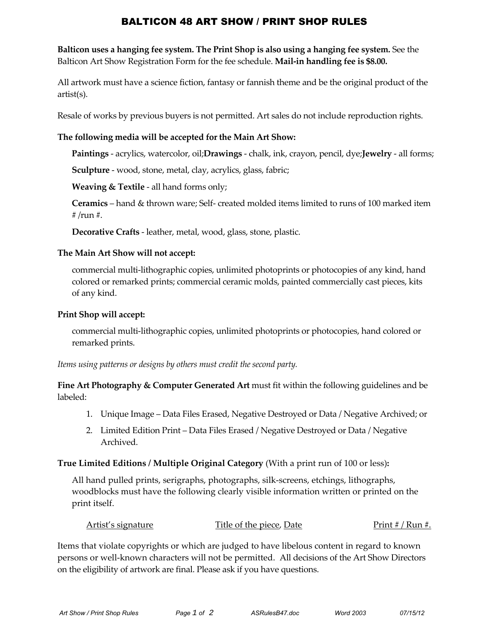# BALTICON 48 ART SHOW / PRINT SHOP RULES

**Balticon uses a hanging fee system. The Print Shop is also using a hanging fee system.** See the Balticon Art Show Registration Form for the fee schedule. **Mail‐in handling fee is \$8.00.**

All artwork must have a science fiction, fantasy or fannish theme and be the original product of the artist(s).

Resale of works by previous buyers is not permitted. Art sales do not include reproduction rights.

### **The following media will be accepted for the Main Art Show:**

**Paintings** ‐ acrylics, watercolor, oil;**Drawings** ‐ chalk, ink, crayon, pencil, dye;**Jewelry** ‐ all forms;

**Sculpture** ‐ wood, stone, metal, clay, acrylics, glass, fabric;

**Weaving & Textile** ‐ all hand forms only;

**Ceramics** – hand & thrown ware; Self‐ created molded items limited to runs of 100 marked item # /run #.

**Decorative Crafts** ‐ leather, metal, wood, glass, stone, plastic.

### **The Main Art Show will not accept:**

commercial multi‐lithographic copies, unlimited photoprints or photocopies of any kind, hand colored or remarked prints; commercial ceramic molds, painted commercially cast pieces, kits of any kind.

#### **Print Shop will accept:**

commercial multi‐lithographic copies, unlimited photoprints or photocopies, hand colored or remarked prints.

*Items using patterns or designs by others must credit the second party.*

**Fine Art Photography & Computer Generated Art** must fit within the following guidelines and be labeled:

- 1. Unique Image Data Files Erased, Negative Destroyed or Data / Negative Archived; or
- 2. Limited Edition Print Data Files Erased / Negative Destroyed or Data / Negative Archived.

### **True Limited Editions / Multiple Original Category** (With a print run of 100 or less)**:**

All hand pulled prints, serigraphs, photographs, silk‐screens, etchings, lithographs, woodblocks must have the following clearly visible information written or printed on the print itself.

| Artist's signature | Title of the piece, Date | Print # / Run #. |  |
|--------------------|--------------------------|------------------|--|
|                    |                          |                  |  |

Items that violate copyrights or which are judged to have libelous content in regard to known persons or well‐known characters will not be permitted. All decisions of the Art Show Directors on the eligibility of artwork are final. Please ask if you have questions.